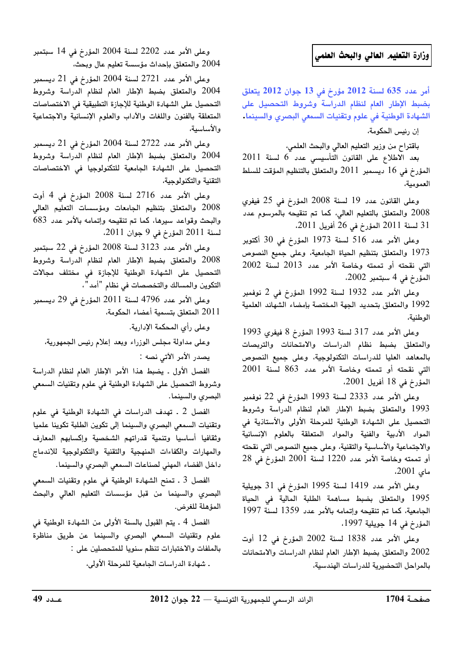## وزارة التعليم العالي والبحث العلمي

أمر عدد 635 لسنة 2012 مؤرخ في 13 جوان 2012 يتعلق بضبط الإطار العام لنظام الدراسة وشروط التحصيل على الشهادة الوطنية في علوم وتقنيات السمعي البصري والسينما.

إن رئيس الحكومة،

باقتراح من وزير التعليم العالي والبحث العلمي،

بعد الاطلاع على القانون التأسيسي عدد 6 لسنة 2011 المؤرخ في 16 ديسمبر 2011 والمتعلق بالتنظيم المؤقت للسلط العمومية،

وعلى القانون عدد 19 لسنة 2008 المؤرخ في 25 فيفرى 2008 والمتعلق بالتعليم العالي، كما تم تنقيحه بالمرسوم عدد 31 لسنة 2011 المؤرخ في 26 أفريل 2011.

وعلى الأمر عدد 516 لسنة 1973 المؤرخ في 30 أكتوبر 1973 والمتعلق بتنظيم الحياة الجامعية، وعلى جميع النصوص التي نقحته أو تممته وخاصة الأمر عدد 2013 لسنة 2002 المؤرخ في 4 سبتمبر 2002،

وعلى الأمر عدد 1932 لسنة 1992 المؤرخ في 2 نوفمبر 1992 والمتعلق بتحديد الجهة المختصة بإمضاء الشهائد العلمية الوطنية،

وعلى الأمر عدد 317 لسنة 1993 المؤرخ 8 فيفري 1993 والمتعلق بضبط نظام الدراسات والامتحانات والتربصات بالمعاهد العليا للدراسات التكنولوجية، وعلى جميع النصوص التي نقحته أو تممته وخاصة الأمر عدد 863 لسنة 2001 المؤرخ في 18 أفريل 2001،

وعلى الأمر عدد 2333 لسنة 1993 المؤرخ في 22 نوفمبر 1993 والمتعلق بضبط الإطار العام لنظام الدراسة وشروط التحصيل على الشهادة الوطنية للمرحلة الأولى والأستاذية فى المواد الأدبية والفنية والمواد المتعلقة بالعلوم الإنسانية والاجتماعية والأساسية والتقنية، وعلى جميع النصوص التي نقحته أو تممته وخاصة الأمر عدد 1220 لسنة 2001 المؤرخ في 28 مای 2001.

وعلى الأمر عدد 1419 لسنة 1995 المؤرخ في 31 جويلية 1995 والمتعلق بضبط مساهمة الطلبة المالية في الحياة الجامعية، كما تم تنقيحه وإتمامه بالأمر عدد 1359 لسنة 1997 المؤرخ في 14 جويلية 1997،

وعلى الأمر عدد 1838 لسنة 2002 المؤرخ في 12 أوت 2002 والمتعلق بضبط الإطار العام لنظام الدراسات والامتحانات بالمراحل التحضيرية للدراسات الهندسية،

وعلى الأمر عدد 2202 لسنة 2004 المؤرخ في 14 سبتمبر 2004 والمتعلق بإحداث مؤسسة تعليم عال وبحث،

وعلى الأمر عدد 2721 لسنة 2004 المؤرخ في 21 ديسمبر 2004 والمتعلق بضبط الإطار العام لنظام الدراسة وشروط التحصيل على الشهادة الوطنية للإجازة التطبيقية في الاختصاصات المتعلقة بالفنون واللغات والأداب والعلوم الإنسانية والاجتماعية والأساسية،

وعلى الأمر عدد 2722 لسنة 2004 المؤرخ في 21 ديسمبر 2004 والمتعلق بضبط الإطار العام لنظام الدراسة وشروط التحصيل على الشهادة الجامعية للتكنولوجيا في الاختصاصات التقنية والتكنولوجية،

وعلى الأمر عدد 2716 لسنة 2008 المؤرخ في 4 أوت 2008 والمتعلق بتنظيم الجامعات ومؤسسات التعليم العالى والبحث وقواعد سيرها، كما تم تنقيحه وإتمامه بالأمر عدد 683 لسنة 2011 المؤرخ في 9 جوان 2011.

وعلى الأمر عدد 3123 لسنة 2008 المؤرخ في 22 سبتمبر 2008 والمتعلق بضبط الإطار العام لنظام الدراسة وشروط التحصيل على الشهادة الوطنية للإجازة فى مختلف مجالات التكوين والمسالك والتخصصات في نظام "أمد"،

وعلى الأمر عدد 4796 لسنة 2011 المؤرخ في 29 ديسمبر 2011 المتعلق بتسمية أعضاء الحكومة،

وعلى رأى المحكمة الإدارية.

وعلى مداولة مجلس الوزراء وبعد إعلام رئيس الجمهورية، يصدر الأمر الآتي نصه :

الفصل الأول . يضبط هذا الأمر الإطار العام لنظام الدراسة وشروط التحصيل على الشهادة الوطنية في علوم وتقنيات السمعي البصرى والسينما.

الفصل 2 . تهدف الدراسات في الشهادة الوطنية في علوم وتقنيات السمعى البصري والسينما إلى تكوين الطلبة تكوينا علميا وثقافيا أساسيا وتنمية قدراتهم الشخصية وإكسابهم المعارف والمهارات والكفاءات المنهجية والتقنية والتكنولوجية للاندماج داخل الفضاء المهني لصناعات السمعي البصري والسينما.

الفصل 3 . تمنح الشهادة الوطنية في علوم وتقنيات السمعي البصري والسينما من قبل مؤسسات التعليم العالي والبحث المؤهلة للغرض.

الفصل 4 ـ يتم القبول بالسنة الأولى من الشهادة الوطنية في علوم وتقنيات السمعى البصري والسينما عن طريق مناظرة بالملفات والاختبارات تنظم سنويا للمتحصلين على : . شهادة الدراسات الجامعية للمرحلة الأولى،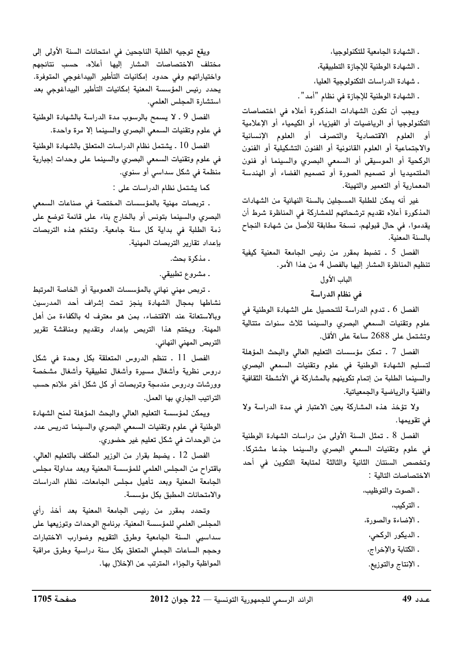ـ الشهادة الجامعية للتكنولوجيا، . الشهادة الوطنية للإجازة التطبيقية، . شهادة الدراسات التكنولوحية العليا، ـ الشهادة الوطنية للإجازة في نظام "أمد". ويجب أن تكون الشهادات المذكورة أعلاه فى اختصاصات

التكنولوجيا أو الرياضيات أو الفيزياء أو الكيمياء أو الإعلامية أو العلوم الاقتصادية والتصرف أو العلوم الإنسانية والاجتماعية أو العلوم القانونية أو الفنون التشكيلية أو الفنون الركحية أو الموسيقى أو السمعى البصرى والسينما أو فنون الملتميديا أو تصميم الصورة أو تصميم الفضاء أو الهندسة المعمارية أو التعمير والتهيئة.

غير أنه يمكن للطلبة المسجلين بالسنة النهائية من الشهادات المذكورة أعلاه تقديم ترشحاتهم للمشاركة في المناظرة شرط أن يقدموا، في حال قبولهم، نسخة مطابقة للأصل من شهادة النجاح بالسنة المعنية.

الفصل 5 . تضبط بمقرر من رئيس الجامعة المعنية كيفية تنظيم المناظرة المشار إليها بالفصل 4 من هذا الأمر.

الماب الأول

في نظام الدراسة

الفصل 6 . تدوم الدراسة للتحصيل على الشهادة الوطنية في علوم وتقنيات السمعى البصرى والسينما ثلاث سنوات متتالية وتشتمل على 2688 ساعة على الأقل.

الفصل 7 ـ تمكن مؤسسات التعليم العالى والبحث المؤهلة لتسليم الشهادة الوطنية فى علوم وتقنيات السمعى البصرى والسينما الطلبة من إتمام تكوينهم بالمشاركة في الأنشطة الثقافية والفنية والرياضية والجمعياتية.

ولا تؤخذ هذه المشاركة بعين الاعتبار في مدة الدراسة ولا فی تقویمها.

الفصل 8 . تمثل السنة الأولى من دراسات الشهادة الوطنية فى علوم وتقنيات السمعى البصرى والسينما جذعا مشتركا. وتخصص السنتان الثانية والثالثة لمتابعة التكوين في أحد الاختصاصات التالية :

- . الصوت والتوظيب،
	- . التركيب،
- ـ الإضاءة والصورة،
- . الديكور الركحي،
- ـ الكتابة والإخراج،
- ـ الإنتاج والتوزيع.

ويقع توجيه الطلبة الناجحين في امتحانات السنة الأولى إلى مختلف الاختصاصات المشار إليها أعلاه، حسب نتائجهم واختياراتهم وفى حدود إمكانيات التأطير البيداغوجى المتوفرة. يحدد رئيس المؤسسة المعنية إمكانيات التأطير البيداغوجى بعد استشارة المجلس العلمى.

الفصل 9 ـ لا يسمح بالرسوب مدة الدراسة بالشهادة الوطنية في علوم وتقنيات السمعي البصري والسينما إلا مرة واحدة.

الفصل 10 . يشتمل نظام الدراسات المتعلق بالشهادة الوطنية في علوم وتقنيات السمعي البصرى والسينما على وحدات إجبارية منظمة في شكل سداسي أو سنوي.

كما يشتمل نظام الدراسات على :

. تربصات مهنية بالمؤسسات المختصة فى صناعات السمعى البصرى والسينما بتونس أو بالخارج بناء على قائمة توضع على ذمة الطلبة في بداية كل سنة جامعية. وتختم هذه التربصات بإعداد تقارير التربصات المهنية.

. مذكرة بحث.

. مشروع تطبيقي.

. تربص مهنى نهائى بالمؤسسات العمومية أو الخاصة المرتبط نشاطها بمجال الشهادة ينجز تحت إشراف أحد المدرسين وبالاستعانة عند الاقتضاء، بمن هو معترف له بالكفاءة من أهل المهنة. ويختم هذا التربص بإعداد وتقديم ومناقشة تقرير التربص المهني النهائي.

الفصل 11 . تنظم الدروس المتعلقة بكل وحدة في شكل دروس نظرية وأشغال مسيرة وأشغال تطبيقية وأشغال مشخصة وورشات ودروس مندمجة وتربصات أو كل شكل آخر ملائم حسب التراتيب الجارى بها العمل.

ويمكن لمؤسسة التعليم العالي والبحث المؤهلة لمنح الشهادة الوطنية في علوم وتقنيات السمعي البصري والسينما تدريس عدد من الوحدات في شكل تعليم غير حضوري.

الفصل 12 . يضبط بقرار من الوزير المكلف بالتعليم العالي، باقتراح من المجلس العلمى للمؤسسة المعنية وبعد مداولة مجلس الجامعة المعنية وبعد تأهيل مجلس الجامعات، نظام الدراسات والامتحانات المطبق بكل مؤسسة.

وتحدد بمقرر من رئيس الجامعة المعنية بعد أخذ رأى المجلس العلمى للمؤسسة المعنية، برنامج الوحدات وتوزيعها على سداسيى السنة الجامعية وطرق التقويم وضوارب الاختبارات وحجم الساعات الجملى المتعلق بكل سنة دراسية وطرق مراقبة المواظبة والجزاء المترتب عن الإخلال بها.